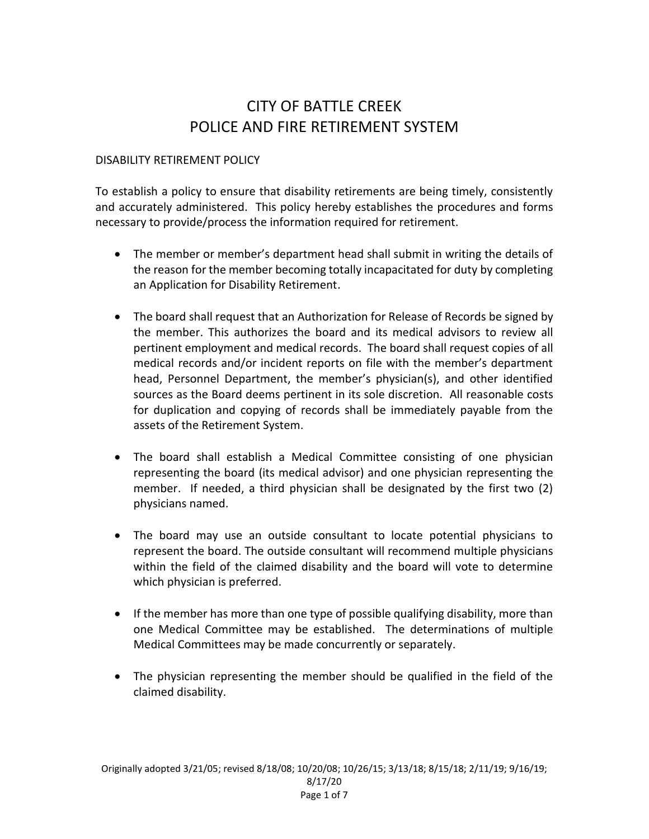## CITY OF BATTLE CREEK POLICE AND FIRE RETIREMENT SYSTEM

## DISABILITY RETIREMENT POLICY

To establish a policy to ensure that disability retirements are being timely, consistently and accurately administered. This policy hereby establishes the procedures and forms necessary to provide/process the information required for retirement.

- The member or member's department head shall submit in writing the details of the reason for the member becoming totally incapacitated for duty by completing an Application for Disability Retirement.
- The board shall request that an Authorization for Release of Records be signed by the member. This authorizes the board and its medical advisors to review all pertinent employment and medical records. The board shall request copies of all medical records and/or incident reports on file with the member's department head, Personnel Department, the member's physician(s), and other identified sources as the Board deems pertinent in its sole discretion. All reasonable costs for duplication and copying of records shall be immediately payable from the assets of the Retirement System.
- The board shall establish a Medical Committee consisting of one physician representing the board (its medical advisor) and one physician representing the member. If needed, a third physician shall be designated by the first two (2) physicians named.
- The board may use an outside consultant to locate potential physicians to represent the board. The outside consultant will recommend multiple physicians within the field of the claimed disability and the board will vote to determine which physician is preferred.
- If the member has more than one type of possible qualifying disability, more than one Medical Committee may be established. The determinations of multiple Medical Committees may be made concurrently or separately.
- The physician representing the member should be qualified in the field of the claimed disability.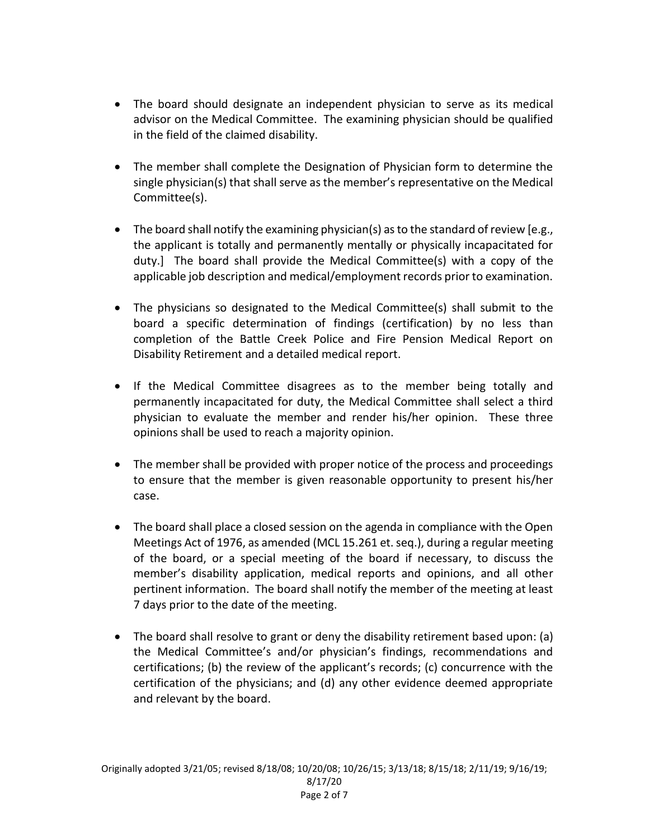- The board should designate an independent physician to serve as its medical advisor on the Medical Committee. The examining physician should be qualified in the field of the claimed disability.
- The member shall complete the Designation of Physician form to determine the single physician(s) that shall serve as the member's representative on the Medical Committee(s).
- The board shall notify the examining physician(s) as to the standard of review [e.g., the applicant is totally and permanently mentally or physically incapacitated for duty.] The board shall provide the Medical Committee(s) with a copy of the applicable job description and medical/employment records prior to examination.
- The physicians so designated to the Medical Committee(s) shall submit to the board a specific determination of findings (certification) by no less than completion of the Battle Creek Police and Fire Pension Medical Report on Disability Retirement and a detailed medical report.
- If the Medical Committee disagrees as to the member being totally and permanently incapacitated for duty, the Medical Committee shall select a third physician to evaluate the member and render his/her opinion. These three opinions shall be used to reach a majority opinion.
- The member shall be provided with proper notice of the process and proceedings to ensure that the member is given reasonable opportunity to present his/her case.
- The board shall place a closed session on the agenda in compliance with the Open Meetings Act of 1976, as amended (MCL 15.261 et. seq.), during a regular meeting of the board, or a special meeting of the board if necessary, to discuss the member's disability application, medical reports and opinions, and all other pertinent information. The board shall notify the member of the meeting at least 7 days prior to the date of the meeting.
- The board shall resolve to grant or deny the disability retirement based upon: (a) the Medical Committee's and/or physician's findings, recommendations and certifications; (b) the review of the applicant's records; (c) concurrence with the certification of the physicians; and (d) any other evidence deemed appropriate and relevant by the board.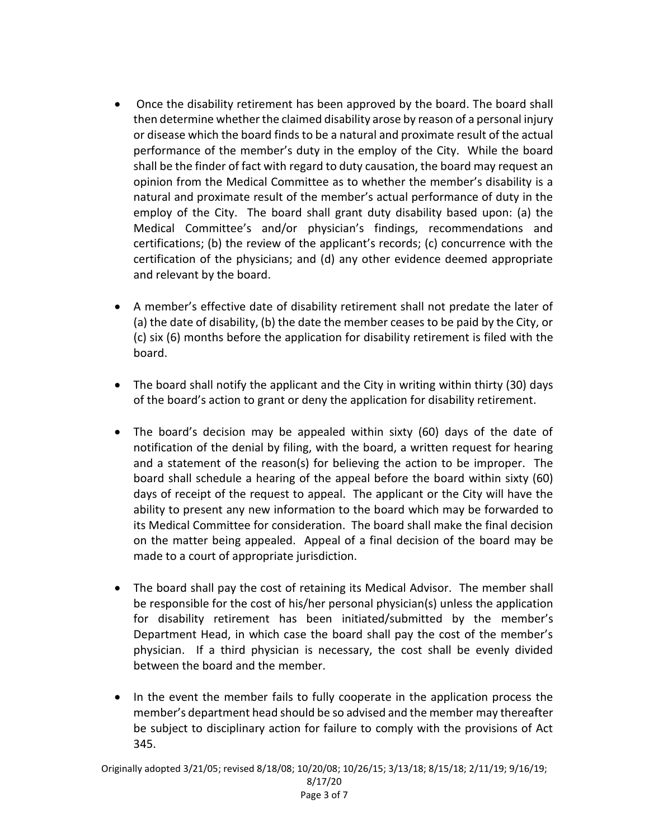- Once the disability retirement has been approved by the board. The board shall then determine whether the claimed disability arose by reason of a personal injury or disease which the board finds to be a natural and proximate result of the actual performance of the member's duty in the employ of the City. While the board shall be the finder of fact with regard to duty causation, the board may request an opinion from the Medical Committee as to whether the member's disability is a natural and proximate result of the member's actual performance of duty in the employ of the City. The board shall grant duty disability based upon: (a) the Medical Committee's and/or physician's findings, recommendations and certifications; (b) the review of the applicant's records; (c) concurrence with the certification of the physicians; and (d) any other evidence deemed appropriate and relevant by the board.
- A member's effective date of disability retirement shall not predate the later of (a) the date of disability, (b) the date the member ceases to be paid by the City, or (c) six (6) months before the application for disability retirement is filed with the board.
- The board shall notify the applicant and the City in writing within thirty (30) days of the board's action to grant or deny the application for disability retirement.
- The board's decision may be appealed within sixty (60) days of the date of notification of the denial by filing, with the board, a written request for hearing and a statement of the reason(s) for believing the action to be improper. The board shall schedule a hearing of the appeal before the board within sixty (60) days of receipt of the request to appeal. The applicant or the City will have the ability to present any new information to the board which may be forwarded to its Medical Committee for consideration. The board shall make the final decision on the matter being appealed. Appeal of a final decision of the board may be made to a court of appropriate jurisdiction.
- The board shall pay the cost of retaining its Medical Advisor. The member shall be responsible for the cost of his/her personal physician(s) unless the application for disability retirement has been initiated/submitted by the member's Department Head, in which case the board shall pay the cost of the member's physician. If a third physician is necessary, the cost shall be evenly divided between the board and the member.
- In the event the member fails to fully cooperate in the application process the member's department head should be so advised and the member may thereafter be subject to disciplinary action for failure to comply with the provisions of Act 345.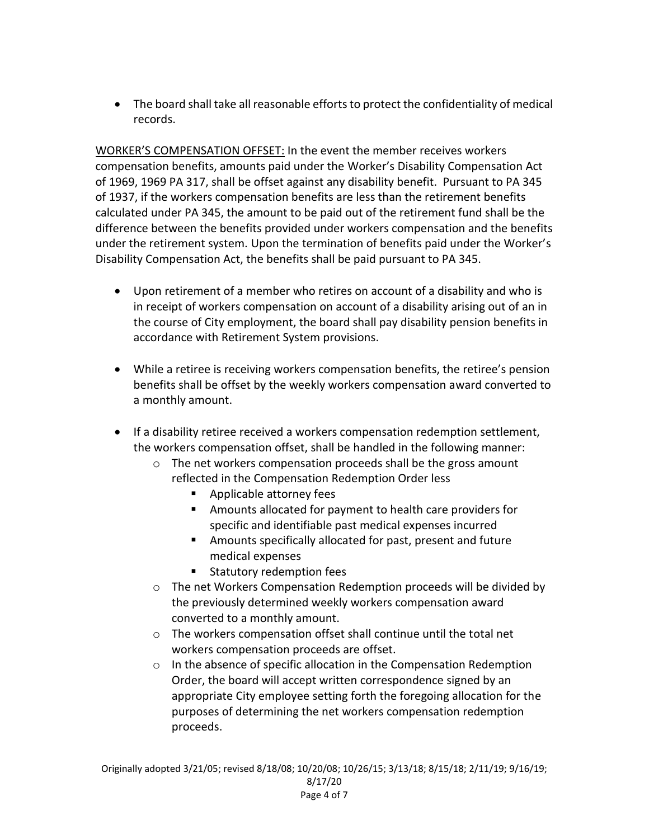The board shall take all reasonable efforts to protect the confidentiality of medical records.

WORKER'S COMPENSATION OFFSET: In the event the member receives workers compensation benefits, amounts paid under the Worker's Disability Compensation Act of 1969, 1969 PA 317, shall be offset against any disability benefit. Pursuant to PA 345 of 1937, if the workers compensation benefits are less than the retirement benefits calculated under PA 345, the amount to be paid out of the retirement fund shall be the difference between the benefits provided under workers compensation and the benefits under the retirement system. Upon the termination of benefits paid under the Worker's Disability Compensation Act, the benefits shall be paid pursuant to PA 345.

- Upon retirement of a member who retires on account of a disability and who is in receipt of workers compensation on account of a disability arising out of an in the course of City employment, the board shall pay disability pension benefits in accordance with Retirement System provisions.
- While a retiree is receiving workers compensation benefits, the retiree's pension benefits shall be offset by the weekly workers compensation award converted to a monthly amount.
- If a disability retiree received a workers compensation redemption settlement, the workers compensation offset, shall be handled in the following manner:
	- o The net workers compensation proceeds shall be the gross amount reflected in the Compensation Redemption Order less
		- **Applicable attorney fees**
		- Amounts allocated for payment to health care providers for specific and identifiable past medical expenses incurred
		- Amounts specifically allocated for past, present and future medical expenses
		- **Statutory redemption fees**
	- o The net Workers Compensation Redemption proceeds will be divided by the previously determined weekly workers compensation award converted to a monthly amount.
	- o The workers compensation offset shall continue until the total net workers compensation proceeds are offset.
	- o In the absence of specific allocation in the Compensation Redemption Order, the board will accept written correspondence signed by an appropriate City employee setting forth the foregoing allocation for the purposes of determining the net workers compensation redemption proceeds.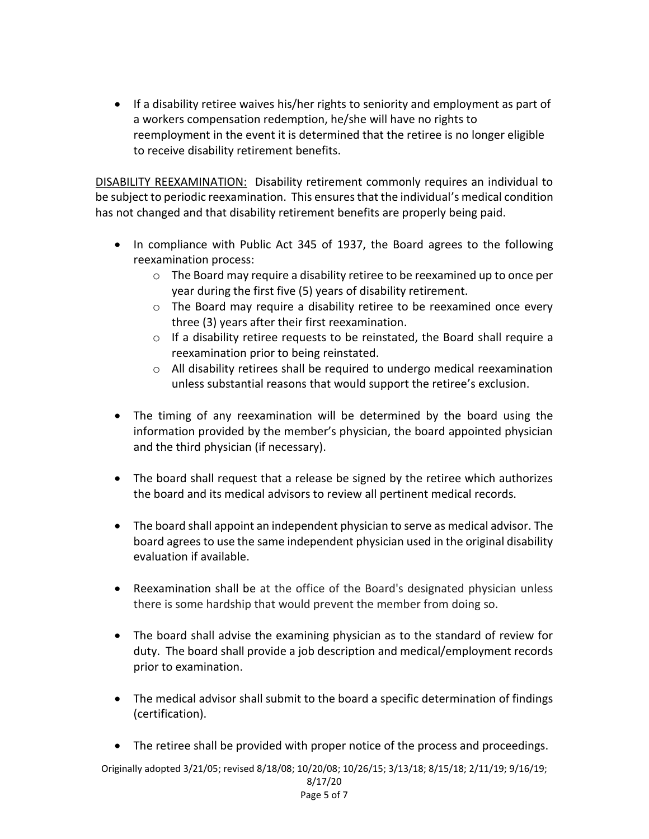• If a disability retiree waives his/her rights to seniority and employment as part of a workers compensation redemption, he/she will have no rights to reemployment in the event it is determined that the retiree is no longer eligible to receive disability retirement benefits.

DISABILITY REEXAMINATION: Disability retirement commonly requires an individual to be subject to periodic reexamination. This ensures that the individual's medical condition has not changed and that disability retirement benefits are properly being paid.

- In compliance with Public Act 345 of 1937, the Board agrees to the following reexamination process:
	- $\circ$  The Board may require a disability retiree to be reexamined up to once per year during the first five (5) years of disability retirement.
	- $\circ$  The Board may require a disability retiree to be reexamined once every three (3) years after their first reexamination.
	- o If a disability retiree requests to be reinstated, the Board shall require a reexamination prior to being reinstated.
	- $\circ$  All disability retirees shall be required to undergo medical reexamination unless substantial reasons that would support the retiree's exclusion.
- The timing of any reexamination will be determined by the board using the information provided by the member's physician, the board appointed physician and the third physician (if necessary).
- The board shall request that a release be signed by the retiree which authorizes the board and its medical advisors to review all pertinent medical records.
- The board shall appoint an independent physician to serve as medical advisor. The board agrees to use the same independent physician used in the original disability evaluation if available.
- Reexamination shall be at the office of the Board's designated physician unless there is some hardship that would prevent the member from doing so.
- The board shall advise the examining physician as to the standard of review for duty. The board shall provide a job description and medical/employment records prior to examination.
- The medical advisor shall submit to the board a specific determination of findings (certification).
- The retiree shall be provided with proper notice of the process and proceedings.

Originally adopted 3/21/05; revised 8/18/08; 10/20/08; 10/26/15; 3/13/18; 8/15/18; 2/11/19; 9/16/19; 8/17/20 Page 5 of 7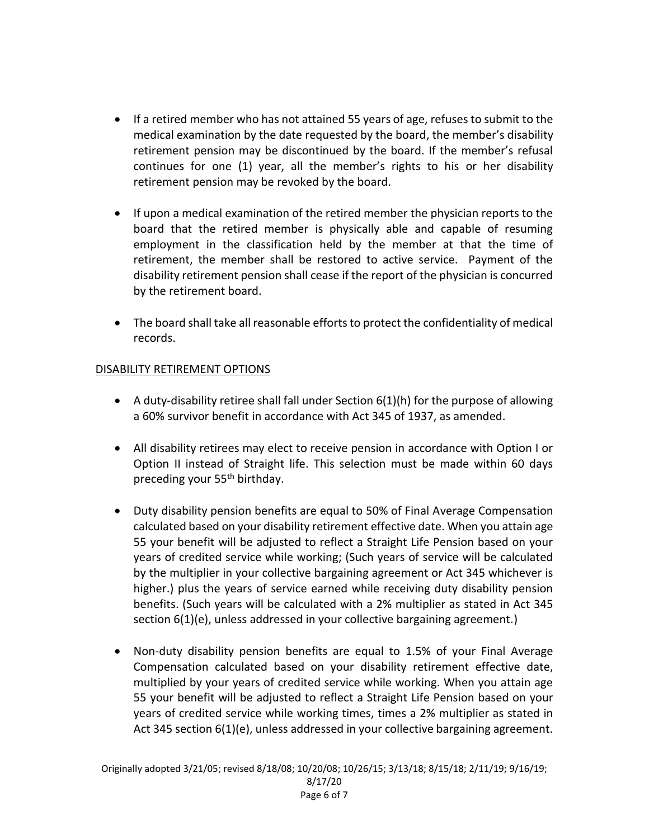- If a retired member who has not attained 55 years of age, refuses to submit to the medical examination by the date requested by the board, the member's disability retirement pension may be discontinued by the board. If the member's refusal continues for one (1) year, all the member's rights to his or her disability retirement pension may be revoked by the board.
- If upon a medical examination of the retired member the physician reports to the board that the retired member is physically able and capable of resuming employment in the classification held by the member at that the time of retirement, the member shall be restored to active service. Payment of the disability retirement pension shall cease if the report of the physician is concurred by the retirement board.
- The board shall take all reasonable efforts to protect the confidentiality of medical records.

## DISABILITY RETIREMENT OPTIONS

- A duty-disability retiree shall fall under Section 6(1)(h) for the purpose of allowing a 60% survivor benefit in accordance with Act 345 of 1937, as amended.
- All disability retirees may elect to receive pension in accordance with Option I or Option II instead of Straight life. This selection must be made within 60 days preceding your 55<sup>th</sup> birthday.
- Duty disability pension benefits are equal to 50% of Final Average Compensation calculated based on your disability retirement effective date. When you attain age 55 your benefit will be adjusted to reflect a Straight Life Pension based on your years of credited service while working; (Such years of service will be calculated by the multiplier in your collective bargaining agreement or Act 345 whichever is higher.) plus the years of service earned while receiving duty disability pension benefits. (Such years will be calculated with a 2% multiplier as stated in Act 345 section 6(1)(e), unless addressed in your collective bargaining agreement.)
- Non-duty disability pension benefits are equal to 1.5% of your Final Average Compensation calculated based on your disability retirement effective date, multiplied by your years of credited service while working. When you attain age 55 your benefit will be adjusted to reflect a Straight Life Pension based on your years of credited service while working times, times a 2% multiplier as stated in Act 345 section 6(1)(e), unless addressed in your collective bargaining agreement.